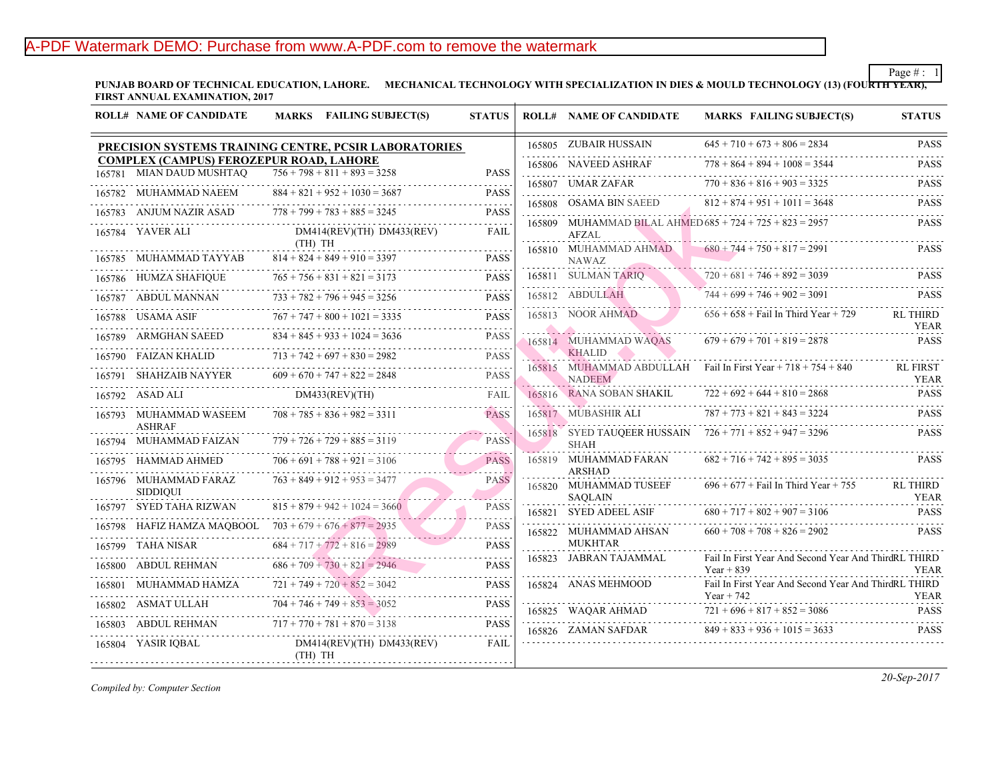## A-PDF Watermark DEMO: Purchase from www.A-PDF.com to remove the watermark

PUNJAB BOARD OF TECHNICAL EDUCATION, LAHORE. MECHANICAL TECHNOLOGY WITH SPECIALIZATION IN DIES & MOULD TECH **FIRST ANNUAL EXAMINATION, 2017**

|                                                              | <b>ROLL# NAME OF CANDIDATE</b>                                                                        |         | <b>MARKS</b> FAILING SUBJECT(S)      | <b>STATUS</b>                    |  | <b>ROLL# NAME OF CANDIDATE</b>              | <b>MARKS FAIL</b>                  |
|--------------------------------------------------------------|-------------------------------------------------------------------------------------------------------|---------|--------------------------------------|----------------------------------|--|---------------------------------------------|------------------------------------|
| <b>PRECISION SYSTEMS TRAINING CENTRE, PCSIR LABORATORIES</b> |                                                                                                       |         |                                      |                                  |  | 165805 ZUBAIR HUSSAIN                       | $645 + 710 + 673$                  |
|                                                              | <b>COMPLEX (CAMPUS) FEROZEPUR ROAD, LAHORE</b><br>$756 + 798 + 811 + 893 = 3258$<br>MIAN DAUD MUSHTAO |         |                                      |                                  |  | 165806 NAVEED ASHRAF                        | $778 + 864 + 894$                  |
| 165781                                                       |                                                                                                       |         |                                      | <b>PASS</b><br>$\omega$ is a set |  | 165807 UMAR ZAFAR                           | .<br>$770 + 836 + 816$             |
|                                                              | 165782 MUHAMMAD NAEEM                                                                                 |         | $884 + 821 + 952 + 1030 = 3687$      | <b>PASS</b>                      |  | 165808 OSAMA BIN SAEED                      | $812 + 874 + 951$                  |
|                                                              | 165783 ANJUM NAZIR ASAD                                                                               |         | $778 + 799 + 783 + 885 = 3245$       | <b>PASS</b><br>.                 |  | 165809 MUHAMMAD BILAL AHMED 685 + 724 + 725 |                                    |
|                                                              | 165784 YAVER ALI                                                                                      | (TH) TH | $DM414$ (REV)(TH) $DM433$ (REV)      | FAIL                             |  | <b>AFZAL</b>                                |                                    |
|                                                              | 165785 MUHAMMAD TAYYAB                                                                                |         | $814 + 824 + 849 + 910 = 3397$       | <b>PASS</b>                      |  | 165810 MUHAMMAD AHMAD<br><b>NAWAZ</b>       | $680 + 744 + 750$                  |
|                                                              | 165786 HUMZA SHAFIQUE                                                                                 |         | $765 + 756 + 831 + 821 = 3173$       | <b>PASS</b>                      |  | 165811 SULMAN TARIQ                         | $720 + 681 + 746$                  |
|                                                              | 165787 ABDUL MANNAN                                                                                   |         | .<br>$733 + 782 + 796 + 945 = 3256$  | <b>PASS</b>                      |  | 165812 ABDULLAH                             | $744 + 699 + 746$                  |
|                                                              | 165788 USAMA ASIF                                                                                     |         | $767 + 747 + 800 + 1021 = 3335$      | <b>PASS</b>                      |  | 165813 NOOR AHMAD                           | $656 + 658 + \text{Fall}$          |
|                                                              | 165789 ARMGHAN SAEED                                                                                  |         | $834 + 845 + 933 + 1024 = 3636$<br>. | <b>PASS</b>                      |  | 165814 MUHAMMAD WAQAS                       | $679 + 679 + 701$                  |
|                                                              | 165790 FAIZAN KHALID                                                                                  |         | $713 + 742 + 697 + 830 = 2982$       | <b>PASS</b>                      |  | <b>KHALID</b>                               |                                    |
|                                                              | 165791 SHAHZAIB NAYYER                                                                                |         | $609 + 670 + 747 + 822 = 2848$       | <b>PASS</b>                      |  | 165815 MUHAMMAD ABDULLAH<br><b>NADEEM</b>   | Fail In First Year                 |
|                                                              | 165792 ASAD ALI                                                                                       |         | DM433(REV)(TH)<br>.                  | FAIL                             |  | 165816 RANA SOBAN SHAKIL                    | $722 + 692 + 644$                  |
|                                                              | 165793 MUHAMMAD WASEEM<br><b>ASHRAF</b>                                                               |         | $708 + 785 + 836 + 982 = 3311$       | <b>PASS</b>                      |  | 165817 MUBASHIR ALI                         | $787 + 773 + 821$                  |
|                                                              | 165794 MUHAMMAD FAIZAN                                                                                |         | $779 + 726 + 729 + 885 = 3119$       | <b>PASS</b>                      |  | 165818 SYED TAUQEER HUSSAIN<br>SHAH         | $726 + 771 + 852$                  |
| 165795                                                       | HAMMAD AHMED                                                                                          |         | $706 + 691 + 788 + 921 = 3106$       | <b>PASS</b>                      |  | 165819 MUHAMMAD FARAN<br><b>ARSHAD</b>      | $682 + 716 + 742$                  |
|                                                              | 165796 MUHAMMAD FARAZ<br><b>SIDDIOUI</b>                                                              |         | $763 + 849 + 912 + 953 = 3477$       | <b>PASS</b>                      |  | 165820 MUHAMMAD TUSEEF<br><b>SAQLAIN</b>    | $696 + 677 +$ Fail                 |
|                                                              | 165797 SYED TAHA RIZWAN                                                                               |         | $815 + 879 + 942 + 1024 = 3660$      | <b>PASS</b>                      |  | 165821 SYED ADEEL ASIF                      | $680 + 717 + 802$                  |
| 165798                                                       | HAFIZ HAMZA MAQBOOL $703 + 679 + 676 + 877 = 2935$                                                    |         |                                      | <b>PASS</b>                      |  | 165822 MUHAMMAD AHSAN                       | $660 + 708 + 708$                  |
|                                                              | 165799 TAHA NISAR                                                                                     |         | $684 + 717 + 772 + 816 = 2989$       | <b>PASS</b>                      |  | <b>MUKHTAR</b>                              |                                    |
|                                                              | 165800 ABDUL REHMAN                                                                                   |         | $686 + 709 + 730 + 821 = 2946$       | المتمامين<br><b>PASS</b>         |  | 165823 JABRAN TAJAMMAL                      | Fail In First Year<br>Year + $839$ |
|                                                              | 165801 MUHAMMAD HAMZA<br>.                                                                            |         | $721 + 749 + 720 + 852 = 3042$       | .<br><b>PASS</b>                 |  | 165824 ANAS MEHMOOD                         | Fail In First Year<br>Year + $742$ |
|                                                              | 165802 ASMAT ULLAH                                                                                    |         | $704 + 746 + 749 + 853 = 3052$       | <b>PASS</b>                      |  | 165825 WAQAR AHMAD                          | $721 + 696 + 817$                  |
|                                                              | 165803 ABDUL REHMAN                                                                                   |         | $717 + 770 + 781 + 870 = 3138$       | <b>PASS</b>                      |  | 165826 ZAMAN SAFDAR                         | $849 + 833 + 936$                  |
|                                                              | 165804 YASIR IQBAL                                                                                    | (TH) TH | $DM414$ (REV)(TH) $DM433$ (REV)      | FAIL                             |  |                                             |                                    |
|                                                              |                                                                                                       |         |                                      |                                  |  |                                             |                                    |

*Compiled by: Computer Section*